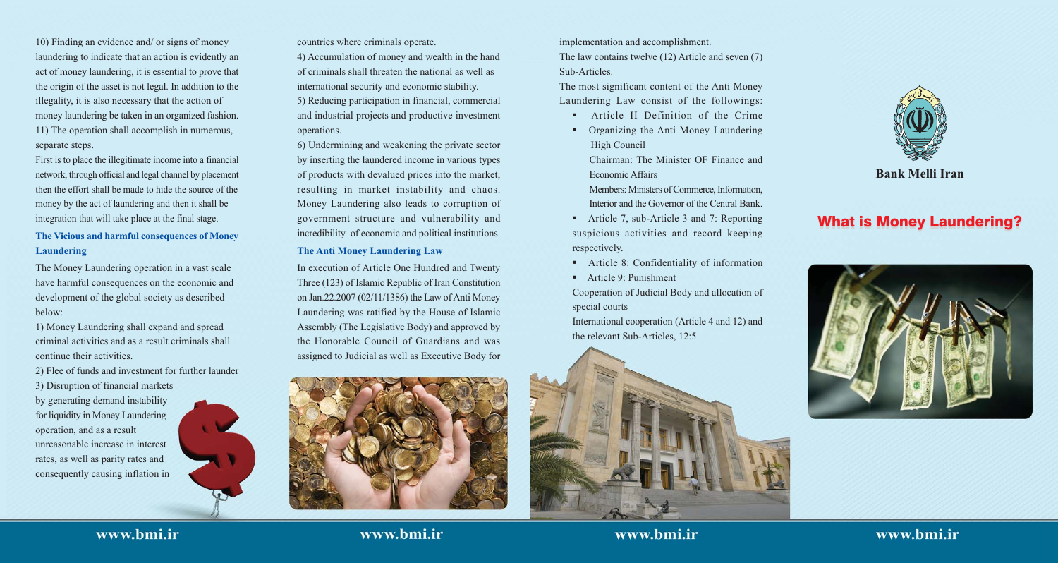10) Finding an evidence and/ or signs of money laundering to indicate that an action is evidently an act of money laundering, it is essential to prove that the origin of the asset is not legal. In addition to the illegality, it is also necessary that the action of money laundering be taken in an organized fashion. 11) The operation shall accomplish in numerous, separate steps.

First is to place the illegitimate income into a financial network, through official and legal channel by placement then the effort shall be made to hide the source of the money by the act of laundering and then it shall be integration that will take place at the final stage.

### The Vicious and harmful consequences of Money **Laundering**

The Money Laundering operation in a vast scale have harmful consequences on the economic and development of the global society as described below:

1) Money Laundering shall expand and spread criminal activities and as a result criminals shall continue their activities.

2) Flee of funds and investment for further launder

3) Disruption of financial markets by generating demand instability

for liquidity in Money Laundering operation, and as a result unreasonable increase in interest rates, as well as parity rates and consequently causing inflation in



countries where criminals operate.

4) Accumulation of money and wealth in the hand of criminals shall threaten the national as well as international security and economic stability. 5) Reducing participation in financial, commercial and industrial projects and productive investment operations.

6) Undermining and weakening the private sector by inserting the laundered income in various types of products with devalued prices into the market, resulting in market instability and chaos. Money Laundering also leads to corruption of government structure and vulnerability and incredibility of economic and political institutions.

#### **The Anti Money Laundering Law**

In execution of Article One Hundred and Twenty Three (123) of Islamic Republic of Iran Constitution on Jan.22.2007 (02/11/1386) the Law of Anti Money Laundering was ratified by the House of Islamic Assembly (The Legislative Body) and approved by the Honorable Council of Guardians and was assigned to Judicial as well as Executive Body for



implementation and accomplishment.

The law contains twelve (12) Article and seven (7) Sub-Articles.

The most significant content of the Anti Money Laundering Law consist of the followings:

- Article II Definition of the Crime
- Organizing the Anti Money Laundering High Council
	- Chairman: The Minister OF Finance and Economic Affairs

Members: Ministers of Commerce, Information. Interior and the Governor of the Central Bank.

- Article 7, sub-Article 3 and 7: Reporting suspicious activities and record keeping respectively.
- Article 8: Confidentiality of information
- Article 9: Punishment

Cooperation of Judicial Body and allocation of special courts

International cooperation (Article 4 and 12) and the relevant Sub-Articles, 12:5



## www.bmi.ir

www.bmi.ir

www.bmi.ir



### **Bank Melli Iran**

# **What is Money Laundering?**



## www.bmi.ir